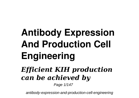# **Antibody Expression And Production Cell Engineering** *Efficient KIH production can be achieved by* Page 1/147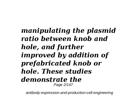#### *manipulating the plasmid ratio between knob and hole, and further improved by addition of prefabricated knob or hole. These studies demonstrate the* Page 2/147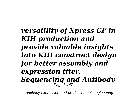#### *versatility of Xpress CF in KIH production and provide valuable insights into KIH construct design for better assembly and expression titer. Sequencing and Antibody* Page 3/147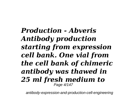*Production - Abveris Antibody production starting from expression cell bank. One vial from the cell bank of chimeric antibody was thawed in 25 ml fresh medium to* Page 4/147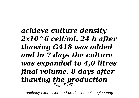*achieve culture density 2x10^6 cell/ml. 24 h after thawing G418 was added and in 7 days the culture was expanded to 4,0 litres final volume. 8 days after thawing the production* Page 5/147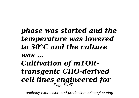#### *phase was started and the temperature was lowered to 30°C and the culture was ... Cultivation of mTORtransgenic CHO-derived cell lines engineered for* Page 6/147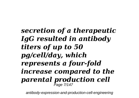*secretion of a therapeutic IgG resulted in antibody titers of up to 50 pg/cell/day, which represents a four-fold increase compared to the parental production cell* Page 7/147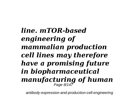*line. mTOR-based engineering of mammalian production cell lines may therefore have a promising future in biopharmaceutical manufacturing of human* Page 8/147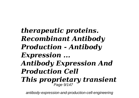*therapeutic proteins. Recombinant Antibody Production - Antibody Expression ... Antibody Expression And Production Cell This proprietary transient* Page 9/147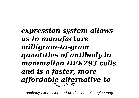*expression system allows us to manufacture milligram-to-gram quantities of antibody in mammalian HEK293 cells and is a faster, more affordable alternative to* Page 10/147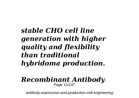# *stable CHO cell line generation with higher quality and flexibility than traditional hybridoma production.*

#### *Recombinant Antibody* Page 11/147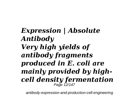*Expression | Absolute Antibody Very high yields of antibody fragments produced in E. coli are mainly provided by highcell density fermentation* Page 12/147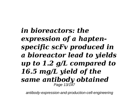*in bioreactors: the expression of a haptenspecific scFv produced in a bioreactor lead to yields up to 1.2 g/L compared to 16.5 mg/L yield of the same antibody obtained* Page 13/147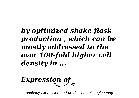# *by optimized shake flask production , which can be mostly addressed to the over 100-fold higher cell density in ...*

#### *Expression of* Page 14/147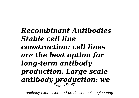*Recombinant Antibodies Stable cell line construction: cell lines are the best option for long-term antibody production. Large scale antibody production: we* Page 15/147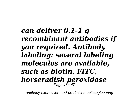*can deliver 0.1-1 g recombinant antibodies if you required. Antibody labeling: several labeling molecules are available, such as biotin, FITC, horseradish peroxidase* Page 16/147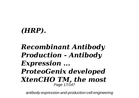### *(HRP).*

#### *Recombinant Antibody Production - Antibody Expression ... ProteoGenix developed XtenCHO TM, the most* Page 17/147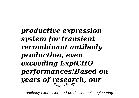*productive expression system for transient recombinant antibody production, even exceeding ExpiCHO performances!Based on years of research, our* Page 18/147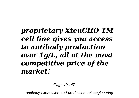# *proprietary XtenCHO TM cell line gives you access to antibody production over 1g/L, all at the most competitive price of the market!*

Page 19/147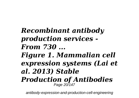*Recombinant antibody production services - From 730 ... Figure 1. Mammalian cell expression systems (Lai et al. 2013) Stable Production of Antibodies* Page 20/147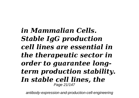*in Mammalian Cells. Stable IgG production cell lines are essential in the therapeutic sector in order to guarantee longterm production stability. In stable cell lines, the* Page 21/147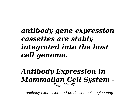# *antibody gene expression cassettes are stably integrated into the host cell genome.*

#### *Antibody Expression in Mammalian Cell System -* Page 22/147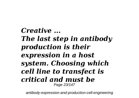*Creative ... The last step in antibody production is their expression in a host system. Choosing which cell line to transfect is critical and must be* Page 23/147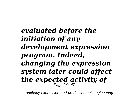*evaluated before the initiation of any development expression program. Indeed, changing the expression system later could affect the expected activity of* Page 24/147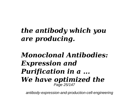# *the antibody which you are producing.*

#### *Monoclonal Antibodies: Expression and Purification in a ... We have optimized the* Page 25/147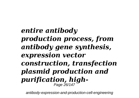*entire antibody production process, from antibody gene synthesis, expression vector construction, transfection plasmid production and purification, high-*Page 26/147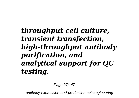# *throughput cell culture, transient transfection, high-throughput antibody purification, and analytical support for QC testing.*

Page 27/147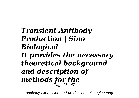*Transient Antibody Production | Sino Biological It provides the necessary theoretical background and description of methods for the* Page 28/147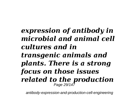#### *expression of antibody in microbial and animal cell cultures and in transgenic animals and plants. There is a strong focus on those issues related to the production* Page 29/147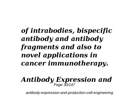# *of intrabodies, bispecific antibody and antibody fragments and also to novel applications in cancer immunotherapy.*

# *Antibody Expression and* Page 30/147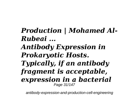# *Production | Mohamed Al-Rubeai ...*

#### *Antibody Expression in Prokaryotic Hosts. Typically, if an antibody fragment is acceptable, expression in a bacterial* Page 31/147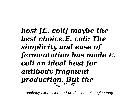*host [E. coli] maybe the best choice.E. coli: The simplicity and ease of fermentation has made E. coli an ideal host for antibody fragment production. But the* Page 32/147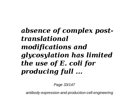# *absence of complex posttranslational modifications and glycosylation has limited the use of E. coli for producing full ...*

Page 33/147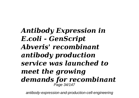*Antibody Expression in E.coli - GenScript Abveris' recombinant antibody production service was launched to meet the growing demands for recombinant* Page 34/147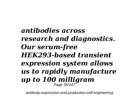*antibodies across research and diagnostics. Our serum-free HEK293-based transient expression system allows us to rapidly manufacture up to 100 milligram*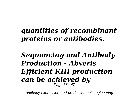# *quantities of recombinant proteins or antibodies.*

#### *Sequencing and Antibody Production - Abveris Efficient KIH production can be achieved by* Page 36/147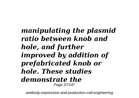#### *manipulating the plasmid ratio between knob and hole, and further improved by addition of prefabricated knob or hole. These studies demonstrate the* Page 37/147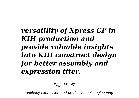### *versatility of Xpress CF in KIH production and provide valuable insights into KIH construct design for better assembly and expression titer.*

Page 38/147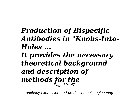## *Production of Bispecific Antibodies in "Knobs-Into-Holes ... It provides the necessary*

*theoretical background and description of methods for the* Page 39/147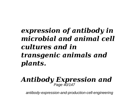### *expression of antibody in microbial and animal cell cultures and in transgenic animals and plants.*

# *Antibody Expression and* Page 40/147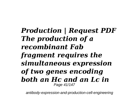*Production | Request PDF The production of a recombinant Fab fragment requires the simultaneous expression of two genes encoding both an Hc and an Lc in* Page 41/147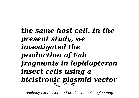*the same host cell. In the present study, we investigated the production of Fab fragments in lepidopteran insect cells using a bicistronic plasmid vector* Page 42/147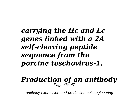#### *carrying the Hc and Lc genes linked with a 2A self-cleaving peptide sequence from the porcine teschovirus-1.*

#### *Production of an antibody* Page 43/147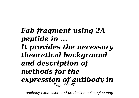*Fab fragment using 2A peptide in ... It provides the necessary theoretical background and description of methods for the expression of antibody in* Page 44/147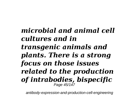#### *microbial and animal cell cultures and in transgenic animals and plants. There is a strong focus on those issues related to the production of intrabodies, bispecific* Page 45/147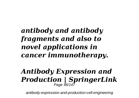### *antibody and antibody fragments and also to novel applications in cancer immunotherapy.*

## *Antibody Expression and Production | SpringerLink* Page 46/147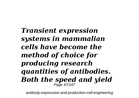*Transient expression systems in mammalian cells have become the method of choice for producing research quantities of antibodies. Both the speed and yield* Page 47/147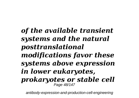*of the available transient systems and the natural posttranslational modifications favor these systems above expression in lower eukaryotes, prokaryotes or stable cell* Page 48/147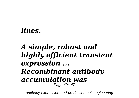#### *lines.*

#### *A simple, robust and highly efficient transient expression ... Recombinant antibody accumulation was* Page 49/147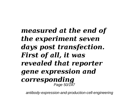*measured at the end of the experiment seven days post transfection. First of all, it was revealed that reporter gene expression and corresponding* Page 50/147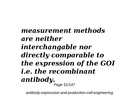#### *measurement methods are neither interchangable nor directly comparable to the expression of the GOI i.e. the recombinant antibody.* Page 51/147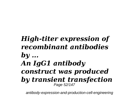#### *High-titer expression of recombinant antibodies by ... An IgG1 antibody construct was produced by transient transfection* Page 52/147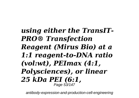#### *using either the TransIT-PRO® Transfection Reagent (Mirus Bio) at a 1:1 reagent-to-DNA ratio (vol:wt), PEImax (4:1, Polysciences), or linear 25 kDa PEI (6:1,* Page 53/147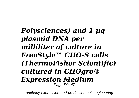*Polysciences) and 1 µg plasmid DNA per milliliter of culture in FreeStyle™ CHO-S cells (ThermoFisher Scientific) cultured in CHOgro® Expression Medium* Page 54/147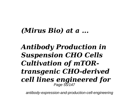#### *(Mirus Bio) at a ...*

#### *Antibody Production in Suspension CHO Cells Cultivation of mTORtransgenic CHO-derived cell lines engineered for* Page 55/147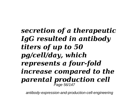*secretion of a therapeutic IgG resulted in antibody titers of up to 50 pg/cell/day, which represents a four-fold increase compared to the parental production cell* Page 56/147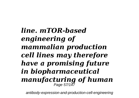*line. mTOR-based engineering of mammalian production cell lines may therefore have a promising future in biopharmaceutical manufacturing of human* Page 57/147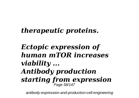### *therapeutic proteins.*

#### *Ectopic expression of human mTOR increases viability ... Antibody production starting from expression* Page 58/147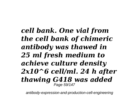*cell bank. One vial from the cell bank of chimeric antibody was thawed in 25 ml fresh medium to achieve culture density 2x10^6 cell/ml. 24 h after thawing G418 was added* Page 59/147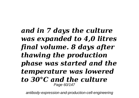*and in 7 days the culture was expanded to 4,0 litres final volume. 8 days after thawing the production phase was started and the temperature was lowered to 30°C and the culture* Page 60/147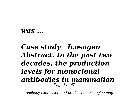#### *was ...*

#### *Case study | Icosagen Abstract. In the past two decades, the production levels for monoclonal antibodies in mammalian* Page 61/147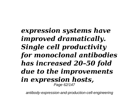#### *expression systems have improved dramatically. Single cell productivity for monoclonal antibodies has increased 20–50 fold due to the improvements in expression hosts,* Page 62/147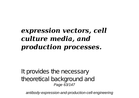### *expression vectors, cell culture media, and production processes.*

It provides the necessary theoretical background and Page 63/147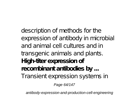description of methods for the expression of antibody in microbial and animal cell cultures and in transgenic animals and plants. **High-titer expression of recombinant antibodies by ...** Transient expression systems in

Page 64/147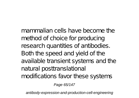mammalian cells have become the method of choice for producing research quantities of antibodies. Both the speed and yield of the available transient systems and the natural posttranslational modifications favor these systems

Page 65/147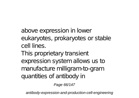above expression in lower eukaryotes, prokaryotes or stable cell lines.

This proprietary transient expression system allows us to manufacture milligram-to-gram quantities of antibody in

Page 66/147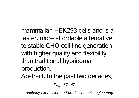mammalian HEK293 cells and is a faster, more affordable alternative to stable CHO cell line generation with higher quality and flexibility than traditional hybridoma production.

Abstract. In the past two decades,

Page 67/147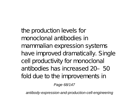the production levels for monoclonal antibodies in mammalian expression systems have improved dramatically. Single cell productivity for monoclonal antibodies has increased 20–50 fold due to the improvements in

Page 68/147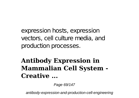expression hosts, expression vectors, cell culture media, and production processes.

#### **Antibody Expression in Mammalian Cell System - Creative ...**

Page 69/147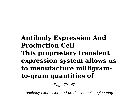#### **Antibody Expression And Production Cell This proprietary transient expression system allows us to manufacture milligramto-gram quantities of**

Page 70/147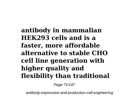**antibody in mammalian HEK293 cells and is a faster, more affordable alternative to stable CHO cell line generation with higher quality and flexibility than traditional**

Page 71/147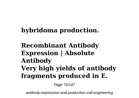#### **hybridoma production.**

#### **Recombinant Antibody Expression | Absolute Antibody Very high yields of antibody fragments produced in E.**

Page 72/147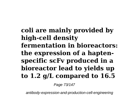**coli are mainly provided by high-cell density fermentation in bioreactors: the expression of a haptenspecific scFv produced in a bioreactor lead to yields up to 1.2 g/L compared to 16.5**

Page 73/147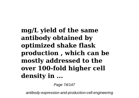**mg/L yield of the same antibody obtained by optimized shake flask production , which can be mostly addressed to the over 100-fold higher cell density in ...**

Page 74/147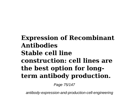### **Expression of Recombinant Antibodies Stable cell line construction: cell lines are the best option for longterm antibody production.**

Page 75/147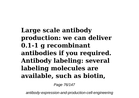### **Large scale antibody production: we can deliver 0.1-1 g recombinant antibodies if you required. Antibody labeling: several labeling molecules are available, such as biotin,**

Page 76/147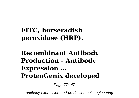**FITC, horseradish peroxidase (HRP).**

**Recombinant Antibody Production - Antibody Expression ... ProteoGenix developed**

Page 77/147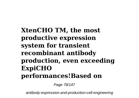**XtenCHO TM, the most productive expression system for transient recombinant antibody production, even exceeding ExpiCHO performances!Based on**

Page 78/147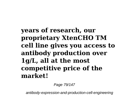## **years of research, our proprietary XtenCHO TM cell line gives you access to antibody production over 1g/L, all at the most competitive price of the market!**

Page 79/147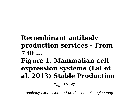# **Recombinant antibody production services - From 730 ... Figure 1. Mammalian cell expression systems (Lai et al. 2013) Stable Production**

Page 80/147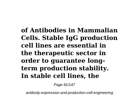**of Antibodies in Mammalian Cells. Stable IgG production cell lines are essential in the therapeutic sector in order to guarantee longterm production stability. In stable cell lines, the**

Page 81/147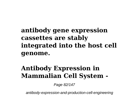### **antibody gene expression cassettes are stably integrated into the host cell genome.**

# **Antibody Expression in Mammalian Cell System -**

Page 82/147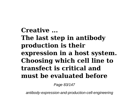## **Creative ... The last step in antibody production is their expression in a host system. Choosing which cell line to transfect is critical and must be evaluated before**

Page 83/147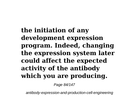**the initiation of any development expression program. Indeed, changing the expression system later could affect the expected activity of the antibody which you are producing.**

Page 84/147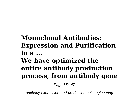# **Monoclonal Antibodies: Expression and Purification in a ... We have optimized the entire antibody production process, from antibody gene**

Page 85/147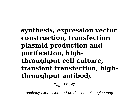### **synthesis, expression vector construction, transfection plasmid production and purification, highthroughput cell culture, transient transfection, highthroughput antibody**

Page 86/147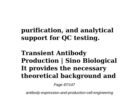## **purification, and analytical support for QC testing.**

## **Transient Antibody Production | Sino Biological It provides the necessary theoretical background and**

Page 87/147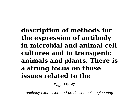**description of methods for the expression of antibody in microbial and animal cell cultures and in transgenic animals and plants. There is a strong focus on those issues related to the**

Page 88/147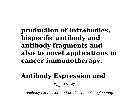**production of intrabodies, bispecific antibody and antibody fragments and also to novel applications in cancer immunotherapy.**

# **Antibody Expression and**

Page 89/147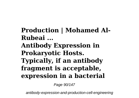**Production | Mohamed Al-Rubeai ... Antibody Expression in Prokaryotic Hosts. Typically, if an antibody fragment is acceptable, expression in a bacterial**

Page 90/147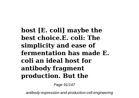**host [E. coli] maybe the best choice.E. coli: The simplicity and ease of fermentation has made E. coli an ideal host for antibody fragment production. But the**

Page 91/147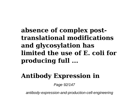#### **absence of complex posttranslational modifications and glycosylation has limited the use of E. coli for producing full ...**

## **Antibody Expression in**

Page 92/147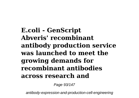**E.coli - GenScript Abveris' recombinant antibody production service was launched to meet the growing demands for recombinant antibodies across research and**

Page 93/147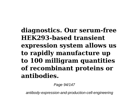**diagnostics. Our serum-free HEK293-based transient expression system allows us to rapidly manufacture up to 100 milligram quantities of recombinant proteins or antibodies.**

Page 94/147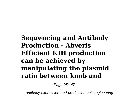**Sequencing and Antibody Production - Abveris Efficient KIH production can be achieved by manipulating the plasmid ratio between knob and**

Page 95/147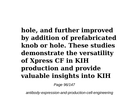**hole, and further improved by addition of prefabricated knob or hole. These studies demonstrate the versatility of Xpress CF in KIH production and provide valuable insights into KIH**

Page 96/147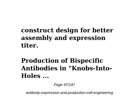### **construct design for better assembly and expression titer.**

# **Production of Bispecific Antibodies in "Knobs-Into-Holes ...**

Page 97/147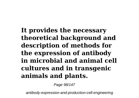**It provides the necessary theoretical background and description of methods for the expression of antibody in microbial and animal cell cultures and in transgenic animals and plants.**

Page 98/147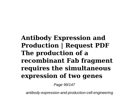**Antibody Expression and Production | Request PDF The production of a recombinant Fab fragment requires the simultaneous expression of two genes**

Page 99/147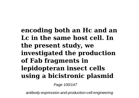**encoding both an Hc and an Lc in the same host cell. In the present study, we investigated the production of Fab fragments in lepidopteran insect cells using a bicistronic plasmid**

Page 100/147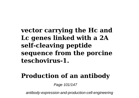#### **vector carrying the Hc and Lc genes linked with a 2A self-cleaving peptide sequence from the porcine teschovirus-1.**

#### **Production of an antibody**

Page 101/147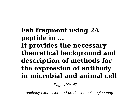**Fab fragment using 2A peptide in ... It provides the necessary theoretical background and description of methods for the expression of antibody in microbial and animal cell**

Page 102/147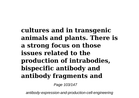**cultures and in transgenic animals and plants. There is a strong focus on those issues related to the production of intrabodies, bispecific antibody and antibody fragments and**

Page 103/147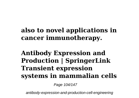### **also to novel applications in cancer immunotherapy.**

### **Antibody Expression and Production | SpringerLink Transient expression systems in mammalian cells**

Page 104/147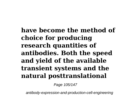**have become the method of choice for producing research quantities of antibodies. Both the speed and yield of the available transient systems and the natural posttranslational**

Page 105/147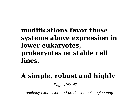#### **modifications favor these systems above expression in lower eukaryotes, prokaryotes or stable cell lines.**

# **A simple, robust and highly**

Page 106/147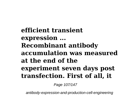**efficient transient expression ... Recombinant antibody accumulation was measured at the end of the experiment seven days post transfection. First of all, it**

Page 107/147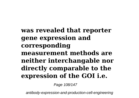#### **was revealed that reporter gene expression and corresponding measurement methods are neither interchangable nor directly comparable to the expression of the GOI i.e.**

Page 108/147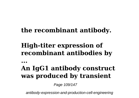#### **the recombinant antibody.**

## **High-titer expression of recombinant antibodies by**

**...**

### **An IgG1 antibody construct was produced by transient**

Page 109/147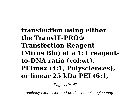## **transfection using either the TransIT-PRO® Transfection Reagent (Mirus Bio) at a 1:1 reagentto-DNA ratio (vol:wt), PEImax (4:1, Polysciences), or linear 25 kDa PEI (6:1,**

Page 110/147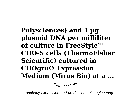**Polysciences) and 1 µg plasmid DNA per milliliter of culture in FreeStyle™ CHO-S cells (ThermoFisher Scientific) cultured in CHOgro® Expression Medium (Mirus Bio) at a ...**

Page 111/147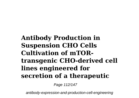## **Antibody Production in Suspension CHO Cells Cultivation of mTORtransgenic CHO-derived cell lines engineered for secretion of a therapeutic**

Page 112/147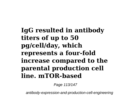**IgG resulted in antibody titers of up to 50 pg/cell/day, which represents a four-fold increase compared to the parental production cell line. mTOR-based**

Page 113/147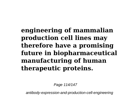## **engineering of mammalian production cell lines may therefore have a promising future in biopharmaceutical manufacturing of human therapeutic proteins.**

Page 114/147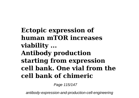**Ectopic expression of human mTOR increases viability ... Antibody production starting from expression cell bank. One vial from the cell bank of chimeric**

Page 115/147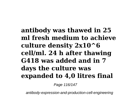**antibody was thawed in 25 ml fresh medium to achieve culture density 2x10^6 cell/ml. 24 h after thawing G418 was added and in 7 days the culture was expanded to 4,0 litres final**

Page 116/147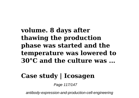### **volume. 8 days after thawing the production phase was started and the temperature was lowered to 30°C and the culture was ...**

### **Case study | Icosagen**

Page 117/147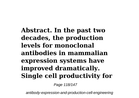**Abstract. In the past two decades, the production levels for monoclonal antibodies in mammalian expression systems have improved dramatically. Single cell productivity for**

Page 118/147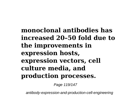## **monoclonal antibodies has increased 20–50 fold due to the improvements in expression hosts, expression vectors, cell culture media, and production processes.**

Page 119/147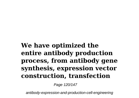## **We have optimized the entire antibody production process, from antibody gene synthesis, expression vector construction, transfection**

Page 120/147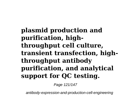**plasmid production and purification, highthroughput cell culture, transient transfection, highthroughput antibody purification, and analytical support for QC testing.**

Page 121/147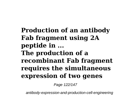**Production of an antibody Fab fragment using 2A peptide in ... The production of a recombinant Fab fragment requires the simultaneous expression of two genes**

Page 122/147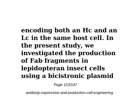**encoding both an Hc and an Lc in the same host cell. In the present study, we investigated the production of Fab fragments in lepidopteran insect cells using a bicistronic plasmid**

Page 123/147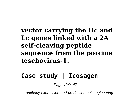### **vector carrying the Hc and Lc genes linked with a 2A self-cleaving peptide sequence from the porcine teschovirus-1.**

#### **Case study | Icosagen**

Page 124/147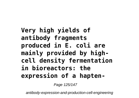**Very high yields of antibody fragments produced in E. coli are mainly provided by highcell density fermentation in bioreactors: the expression of a hapten-**

Page 125/147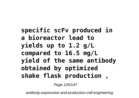**specific scFv produced in a bioreactor lead to yields up to 1.2 g/L compared to 16.5 mg/L yield of the same antibody obtained by optimized shake flask production ,**

Page 126/147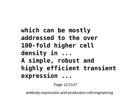## **which can be mostly addressed to the over 100-fold higher cell density in ... A simple, robust and highly efficient transient expression ...**

Page 127/147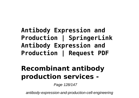## **Antibody Expression and Production | SpringerLink Antibody Expression and Production | Request PDF**

# **Recombinant antibody production services -**

Page 128/147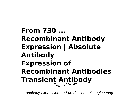**From 730 ... Recombinant Antibody Expression | Absolute Antibody Expression of Recombinant Antibodies Transient Antibody** Page 129/147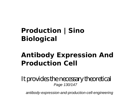# **Production | Sino Biological**

## **Antibody Expression And Production Cell**

It provides the necessary theoretical Page 130/147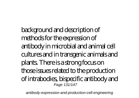background and description of methods for the expression of antibody in microbial and animal cell cultures and in transgenic animals and plants. There is a strong focus on those issues related to the production of intrabodies, bispecific antibody and Page 131/147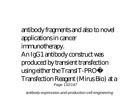antibody fragments and also to novel applications in cancer immunotherapy. An IgG1 antibody construct was produced by transient transfection using either the TransIT-PRO® Transfection Reagent (Mirus Bio) at a Page 132/147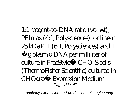1:1 reagent-to-DNA ratio (vol:wt), PEImax (4:1, Polysciences), or linear  $25$  kDa PEI (6.1, Polysciences) and 1 µg plasmid DNA per milliliter of culture in FreeStyle™ CHO-S cells (ThermoFisher Scientific) cultured in CHOgro® Expression Medium Page 133/147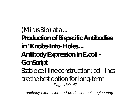(Mirus Bio) at a ... **Production of Bispecific Antibodies in "Knobs-Into-Holes ... Antibody Expression in E.coli - GenScript** Stable cell line construction: cell lines are the best option for long-term Page 134/147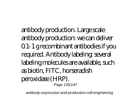antibody production. Large scale antibody production: we can deliver 0.1-1 g recombinant antibodies if you required. Antibody labeling: several labeling molecules are available, such as biotin, FITC, horseradish peroxidase (HRP). Page 135/147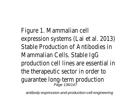Figure 1. Mammalian cell expression systems (Lai et a Stable Production of Antibod Mammalian Cells. Stable IgG production cell lines are esse the therapeutic sector in or guarantee long-term production and the same of the same of the same of the same o<br>Page 136/147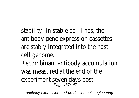stability. In stable cell lines, antibody gene expression ca are stably integrated into the cell genome. Recombinant antibody accun was measured at the end of experiment seven days post Page 137/147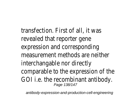transfection. First of all, it  $\sqrt{ }$ revealed that reporter gene expression and corresponding measurement methods are no interchangable nor directly comparable to the expression GOI i.e. the recombinant anter-Page 138/147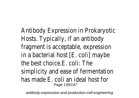Antibody Expression in Proka Hosts. Typically, if an antibod fragment is acceptable, expression in a bacterial host  $[E.$  coli] m the best choice.E. coli: The simplicity and ease of ferme has made E. coli an ideal hos Page 139/147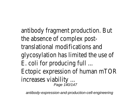antibody fragment productic the absence of complex post translational modifications and glycosylation has limited the E. coli for producing full ... Ectopic expression of humar increases viability ... Page 140/147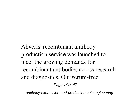Abveris' recombinant antibody production service was launched to meet the growing demands for recombinant antibodies across research and diagnostics. Our serum-free

Page 141/147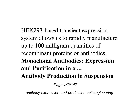HEK293-based transient expression system allows us to rapidly manufacture up to 100 milligram quantities of recombinant proteins or antibodies. **Monoclonal Antibodies: Expression and Purification in a ... Antibody Production in Suspension**

Page 142/147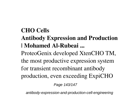#### **CHO Cells**

#### **Antibody Expression and Production | Mohamed Al-Rubeai ...**

ProteoGenix developed XtenCHO TM, the most productive expression system for transient recombinant antibody production, even exceeding ExpiCHO

Page 143/147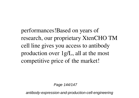performances!Based on years of research, our proprietary XtenCHO TM cell line gives you access to antibody production over 1g/L, all at the most competitive price of the market!

Page 144/147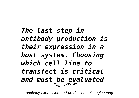## *The last step in antibody production is their expression in a host system. Choosing which cell line to transfect is critical and must be evaluated* Page 145/147

antibody-expression-and-production-cell-engineering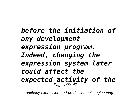*before the initiation of any development expression program. Indeed, changing the expression system later could affect the expected activity of the* Page 146/147

antibody-expression-and-production-cell-engineering